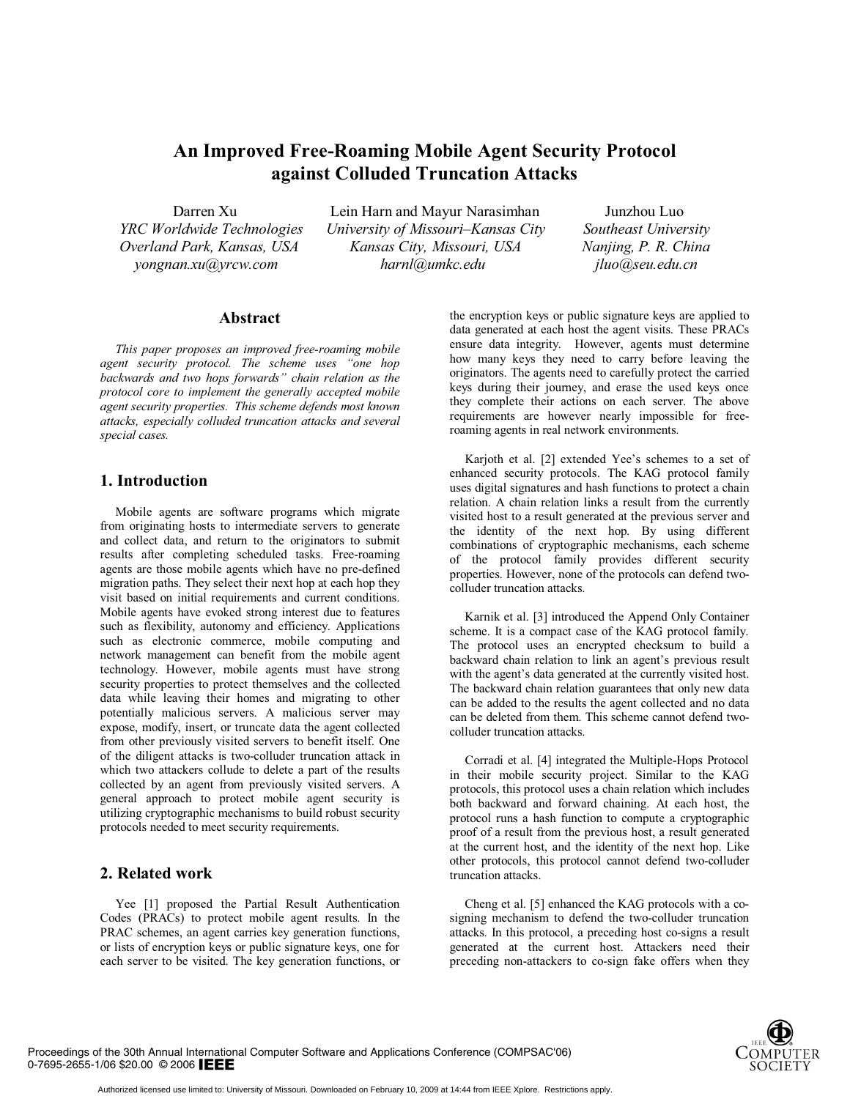# **An Improved Free-Roaming Mobile Agent Security Protocol against Colluded Truncation Attacks**

 Darren Xu Lein Harn and Mayur Narasimhan Junzhou Luo  *YRC Worldwide Technologies University of Missouri–Kansas City Southeast University Overland Park, Kansas, USA Kansas City, Missouri, USA Nanjing, P. R. China yongnan.xu@yrcw.com harnl@umkc.edu jluo@seu.edu.cn* 

## **Abstract**

 *This paper proposes an improved free-roaming mobile agent security protocol. The scheme uses "one hop backwards and two hops forwards" chain relation as the protocol core to implement the generally accepted mobile agent security properties. This scheme defends most known attacks, especially colluded truncation attacks and several special cases.* 

## **1. Introduction**

 Mobile agents are software programs which migrate from originating hosts to intermediate servers to generate and collect data, and return to the originators to submit results after completing scheduled tasks. Free-roaming agents are those mobile agents which have no pre-defined migration paths. They select their next hop at each hop they visit based on initial requirements and current conditions. Mobile agents have evoked strong interest due to features such as flexibility, autonomy and efficiency. Applications such as electronic commerce, mobile computing and network management can benefit from the mobile agent technology. However, mobile agents must have strong security properties to protect themselves and the collected data while leaving their homes and migrating to other potentially malicious servers. A malicious server may expose, modify, insert, or truncate data the agent collected from other previously visited servers to benefit itself. One of the diligent attacks is two-colluder truncation attack in which two attackers collude to delete a part of the results collected by an agent from previously visited servers. A general approach to protect mobile agent security is utilizing cryptographic mechanisms to build robust security protocols needed to meet security requirements.

## **2. Related work**

 Yee [1] proposed the Partial Result Authentication Codes (PRACs) to protect mobile agent results. In the PRAC schemes, an agent carries key generation functions, or lists of encryption keys or public signature keys, one for each server to be visited. The key generation functions, or

the encryption keys or public signature keys are applied to data generated at each host the agent visits. These PRACs ensure data integrity. However, agents must determine how many keys they need to carry before leaving the originators. The agents need to carefully protect the carried keys during their journey, and erase the used keys once they complete their actions on each server. The above requirements are however nearly impossible for freeroaming agents in real network environments.

 Karjoth et al. [2] extended Yee's schemes to a set of enhanced security protocols. The KAG protocol family uses digital signatures and hash functions to protect a chain relation. A chain relation links a result from the currently visited host to a result generated at the previous server and the identity of the next hop. By using different combinations of cryptographic mechanisms, each scheme of the protocol family provides different security properties. However, none of the protocols can defend twocolluder truncation attacks.

 Karnik et al. [3] introduced the Append Only Container scheme. It is a compact case of the KAG protocol family. The protocol uses an encrypted checksum to build a backward chain relation to link an agent's previous result with the agent's data generated at the currently visited host. The backward chain relation guarantees that only new data can be added to the results the agent collected and no data can be deleted from them. This scheme cannot defend twocolluder truncation attacks.

 Corradi et al. [4] integrated the Multiple-Hops Protocol in their mobile security project. Similar to the KAG protocols, this protocol uses a chain relation which includes both backward and forward chaining. At each host, the protocol runs a hash function to compute a cryptographic proof of a result from the previous host, a result generated at the current host, and the identity of the next hop. Like other protocols, this protocol cannot defend two-colluder truncation attacks.

 Cheng et al. [5] enhanced the KAG protocols with a cosigning mechanism to defend the two-colluder truncation attacks. In this protocol, a preceding host co-signs a result generated at the current host. Attackers need their preceding non-attackers to co-sign fake offers when they

Authorized licensed use limited to: University of Missouri. Downloaded on February 10, 2009 at 14:44 from IEEE Xplore. Restrictions apply.

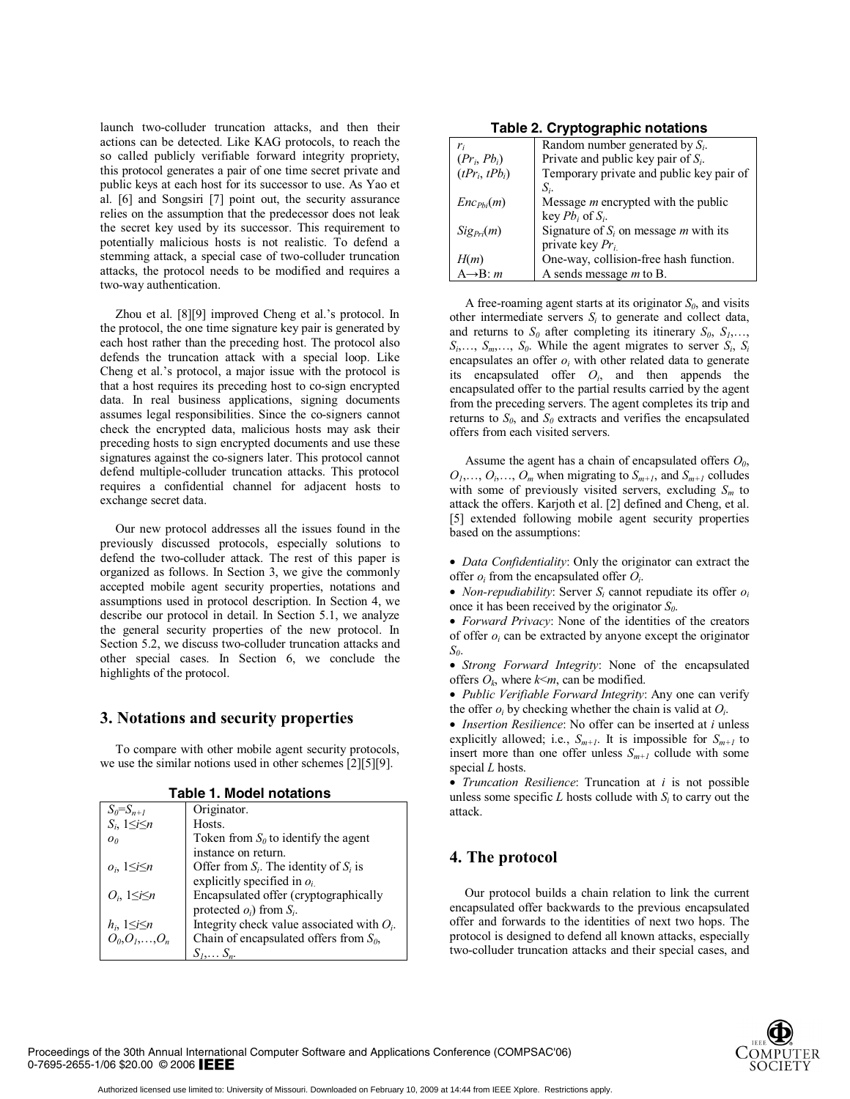launch two-colluder truncation attacks, and then their actions can be detected. Like KAG protocols, to reach the so called publicly verifiable forward integrity propriety, this protocol generates a pair of one time secret private and public keys at each host for its successor to use. As Yao et al. [6] and Songsiri [7] point out, the security assurance relies on the assumption that the predecessor does not leak the secret key used by its successor. This requirement to potentially malicious hosts is not realistic. To defend a stemming attack, a special case of two-colluder truncation attacks, the protocol needs to be modified and requires a two-way authentication.

 Zhou et al. [8][9] improved Cheng et al.'s protocol. In the protocol, the one time signature key pair is generated by each host rather than the preceding host. The protocol also defends the truncation attack with a special loop. Like Cheng et al.'s protocol, a major issue with the protocol is that a host requires its preceding host to co-sign encrypted data. In real business applications, signing documents assumes legal responsibilities. Since the co-signers cannot check the encrypted data, malicious hosts may ask their preceding hosts to sign encrypted documents and use these signatures against the co-signers later. This protocol cannot defend multiple-colluder truncation attacks. This protocol requires a confidential channel for adjacent hosts to exchange secret data.

 Our new protocol addresses all the issues found in the previously discussed protocols, especially solutions to defend the two-colluder attack. The rest of this paper is organized as follows. In Section 3, we give the commonly accepted mobile agent security properties, notations and assumptions used in protocol description. In Section 4, we describe our protocol in detail. In Section 5.1, we analyze the general security properties of the new protocol. In Section 5.2, we discuss two-colluder truncation attacks and other special cases. In Section 6, we conclude the highlights of the protocol.

## **3. Notations and security properties**

 To compare with other mobile agent security protocols, we use the similar notions used in other schemes [2][5][9].

| 1 avic 1. MOUCI HULAHUH3  |                                               |  |
|---------------------------|-----------------------------------------------|--|
| $S_0 = S_{n+1}$           | Originator.                                   |  |
| $S_i$ , $1 \leq i \leq n$ | Hosts.                                        |  |
| $\mathcal{O}_0$           | Token from $S_0$ to identify the agent        |  |
|                           | instance on return.                           |  |
| $o_i$ , $1 \leq i \leq n$ | Offer from $S_i$ . The identity of $S_i$ is   |  |
|                           | explicitly specified in $o_i$                 |  |
| $O_i$ , $1 \leq i \leq n$ | Encapsulated offer (cryptographically         |  |
|                           | protected $o_i$ ) from $S_i$ .                |  |
| $h_i$ , $1 \leq i \leq n$ | Integrity check value associated with $O_i$ . |  |
| $O_0, O_1, \ldots, O_n$   | Chain of encapsulated offers from $S_0$ ,     |  |
|                           | $S_1, \ldots S_n$                             |  |

#### **Table 1. Model notations**

**Table 2. Cryptographic notations** 

| r;                           | Random number generated by $S_i$ .              |
|------------------------------|-------------------------------------------------|
| $(Pr_i, Pb_i)$               | Private and public key pair of $S_i$ .          |
| $(tPr_i, tPb_i)$             | Temporary private and public key pair of        |
|                              | $S_i$ .                                         |
| $Enc_{Pbi}(m)$               | Message $m$ encrypted with the public           |
|                              | key $Pb_i$ of $S_i$ .                           |
| $Sign_{i}(m)$                | Signature of $S_i$ on message <i>m</i> with its |
|                              | private key $Pr_i$                              |
| H(m)                         | One-way, collision-free hash function.          |
| $A \rightarrow B$ : <i>m</i> | A sends message $m$ to B.                       |

A free-roaming agent starts at its originator  $S_0$ , and visits other intermediate servers  $S_i$  to generate and collect data, and returns to  $S_0$  after completing its itinerary  $S_0$ ,  $S_1$ ,...  $S_i$ ,  $S_i$ ,  $S_i$ ,  $S_i$ , *S<sub>i</sub>*. While the agent migrates to server *S<sub>i</sub>*, *S<sub>i</sub>* encapsulates an offer  $o_i$  with other related data to generate its encapsulated offer  $O_i$ , and then appends the encapsulated offer to the partial results carried by the agent from the preceding servers. The agent completes its trip and returns to  $S_0$ , and  $S_0$  extracts and verifies the encapsulated offers from each visited servers.

Assume the agent has a chain of encapsulated offers  $O_0$ ,  $O_1, \ldots, O_i, \ldots, O_m$  when migrating to  $S_{m+1}$ , and  $S_{m+1}$  colludes with some of previously visited servers, excluding  $S_m$  to attack the offers. Karjoth et al. [2] defined and Cheng, et al. [5] extended following mobile agent security properties based on the assumptions:

• *Data Confidentiality*: Only the originator can extract the offer  $o_i$  from the encapsulated offer  $O_i$ .

• *Non-repudiability*: Server  $S_i$  cannot repudiate its offer  $o_i$ once it has been received by the originator *S0*.

• *Forward Privacy*: None of the identities of the creators of offer *oi* can be extracted by anyone except the originator *S0*.

• *Strong Forward Integrity*: None of the encapsulated offers  $O_k$ , where  $k \le m$ , can be modified.

• *Public Verifiable Forward Integrity*: Any one can verify the offer  $o_i$  by checking whether the chain is valid at  $O_i$ .

• *Insertion Resilience*: No offer can be inserted at *i* unless explicitly allowed; i.e.,  $S_{m+1}$ . It is impossible for  $S_{m+1}$  to insert more than one offer unless  $S_{m+1}$  collude with some special *L* hosts.

• *Truncation Resilience*: Truncation at *i* is not possible unless some specific  $L$  hosts collude with  $S_i$  to carry out the attack.

## **4. The protocol**

 Our protocol builds a chain relation to link the current encapsulated offer backwards to the previous encapsulated offer and forwards to the identities of next two hops. The protocol is designed to defend all known attacks, especially two-colluder truncation attacks and their special cases, and

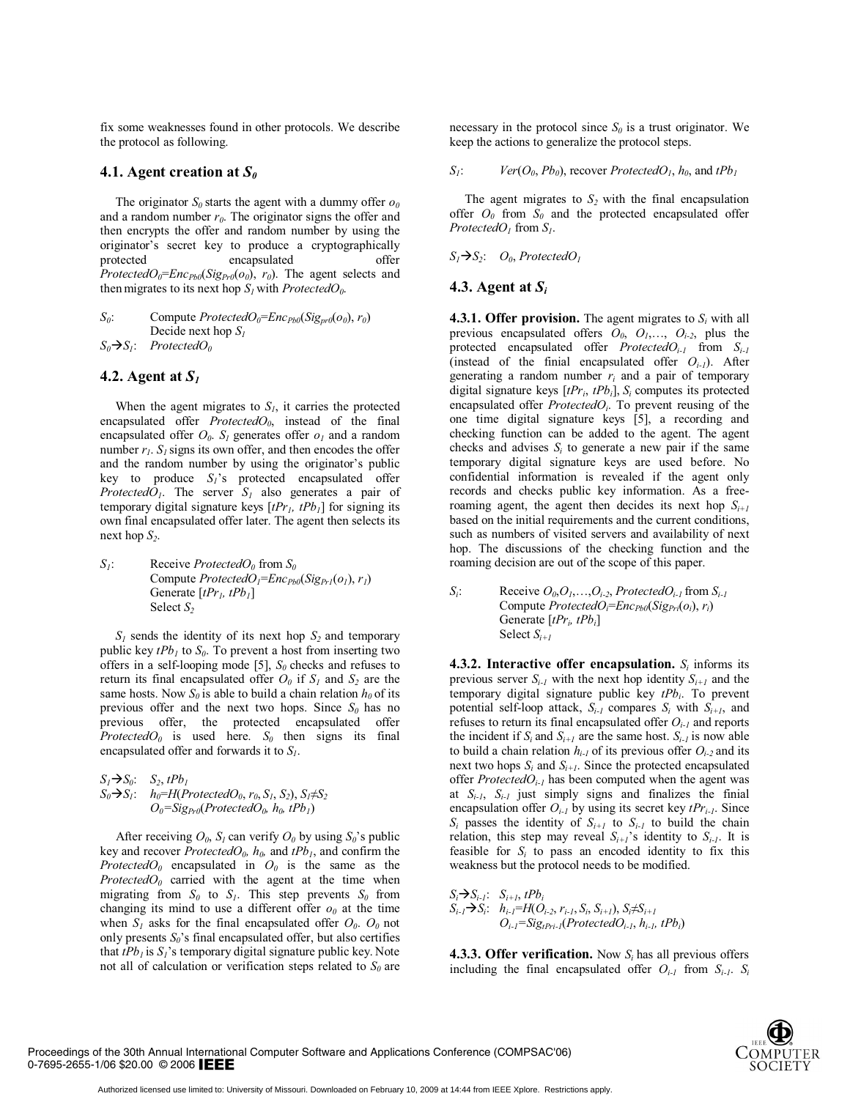fix some weaknesses found in other protocols. We describe the protocol as following.

#### **4.1. Agent creation at**  $S_\theta$

The originator  $S_0$  starts the agent with a dummy offer  $o_0$ and a random number  $r_0$ . The originator signs the offer and then encrypts the offer and random number by using the originator's secret key to produce a cryptographically protected encapsulated offer *ProtectedO<sub>0</sub>*=*Enc<sub>Pb0</sub>*(*Sig<sub>Pr0</sub>*( $o_0$ ),  $r_0$ ). The agent selects and then migrates to its next hop  $S_l$  with *ProtectedO<sub>0</sub>*.

*S*<sub>0</sub>: Compute *ProtectedO*<sub>0</sub>=*Enc<sub>Pb0</sub>*(*Sig<sub>pr0</sub>*(*o*<sub>0</sub>), *r*<sub>0</sub>) Decide next hop *S1*  $S_0 \rightarrow S_1$ : *ProtectedO<sub>0</sub>* 

#### **4.2. Agent at** *S1*

When the agent migrates to  $S<sub>l</sub>$ , it carries the protected encapsulated offer *ProtectedO<sub>0</sub>*, instead of the final encapsulated offer  $O_0$ .  $S_1$  generates offer  $o_1$  and a random number  $r_1$ .  $S_1$  signs its own offer, and then encodes the offer and the random number by using the originator's public key to produce  $S_l$ 's protected encapsulated offer *ProtectedO<sub>1</sub>*. The server  $S_1$  also generates a pair of temporary digital signature keys  $[*tPr<sub>1</sub>*, *tPb<sub>1</sub>*]$  for signing its own final encapsulated offer later. The agent then selects its next hop  $S_2$ .

*S<sub>1</sub>*: Receive *ProtectedO*<sub>0</sub> from *S*<sub>0</sub> Compute  $PredictedO_1=Enc_{Pb0}(Sig_{PI}(o_1), r_1)$ Generate [tPr<sub>1</sub>, tPb<sub>1</sub>] Select *S*<sub>2</sub>

 $S_1$  sends the identity of its next hop  $S_2$  and temporary public key  $tPb_1$  to  $S_0$ . To prevent a host from inserting two offers in a self-looping mode [5],  $S_0$  checks and refuses to return its final encapsulated offer  $O_0$  if  $S_1$  and  $S_2$  are the same hosts. Now  $S_0$  is able to build a chain relation  $h_0$  of its previous offer and the next two hops. Since  $S_0$  has no previous offer, the protected encapsulated offer *ProtectedO<sub>0</sub>* is used here.  $S_0$  then signs its final encapsulated offer and forwards it to *S1*.

 $S_l \rightarrow S_0$ :  $S_2$ , *tPb<sub>1</sub>*  $S_0 \rightarrow S_1$ :  $h_0 = H(ProtectedO_0, r_0, S_1, S_2)$ ,  $S_1 \neq S_2$  $O_0 = \text{Sig}_{\text{Pro}}(\text{Protected}O_0, h_0, tPb_1)$ 

After receiving  $O_0$ ,  $S_l$  can verify  $O_0$  by using  $S_0$ 's public key and recover *ProtectedO<sub>0</sub>*,  $h_0$ , and  $tPb_1$ , and confirm the *ProtectedO<sub>0</sub>* encapsulated in  $O_0$  is the same as the *ProtectedO<sub>0</sub>* carried with the agent at the time when migrating from  $S_0$  to  $S_1$ . This step prevents  $S_0$  from changing its mind to use a different offer  $o_0$  at the time when  $S_l$  asks for the final encapsulated offer  $O_0$ .  $O_0$  not only presents  $S_0$ 's final encapsulated offer, but also certifies that  $tPb<sub>1</sub>$  is  $S<sub>1</sub>$ 's temporary digital signature public key. Note not all of calculation or verification steps related to  $S_0$  are

necessary in the protocol since  $S_0$  is a trust originator. We keep the actions to generalize the protocol steps.

 $S_1$ : *Ver*( $O_0$ ,  $Pb_0$ ), recover *ProtectedO<sub>1</sub>*,  $h_0$ , and  $tPb_1$ 

The agent migrates to  $S_2$  with the final encapsulation offer  $O_0$  from  $S_0$  and the protected encapsulated offer *ProtectedO<sub>1</sub>* from  $S<sub>1</sub>$ .

#### $S_1 \rightarrow S_2$ :  $O_0$ , *ProtectedO<sub>1</sub>*

#### **4.3. Agent at** *Si*

**4.3.1. Offer provision.** The agent migrates to  $S_i$  with all previous encapsulated offers  $O_0$ ,  $O_1$ ,...,  $O_{i-2}$ , plus the protected encapsulated offer *ProtectedOi-1* from *Si-1* (instead of the finial encapsulated offer  $O_{i-1}$ ). After generating a random number *ri* and a pair of temporary digital signature keys  $[tPr_i, tPb_i]$ ,  $S_i$  computes its protected encapsulated offer *ProtectedOi*. To prevent reusing of the one time digital signature keys [5], a recording and checking function can be added to the agent. The agent checks and advises  $S_i$  to generate a new pair if the same temporary digital signature keys are used before. No confidential information is revealed if the agent only records and checks public key information. As a freeroaming agent, the agent then decides its next hop  $S_{i+1}$ based on the initial requirements and the current conditions, such as numbers of visited servers and availability of next hop. The discussions of the checking function and the roaming decision are out of the scope of this paper.

 $S_i$ : Receive  $O_0, O_1, \ldots, O_{i-2}$ , *Protected* $O_{i-1}$  from  $S_{i-1}$  Compute *ProtectedOi*=*EncPb0*(*SigPri*(*oi*), *ri*) Generate [tPr<sub>i</sub>, tPb<sub>i</sub>] Select *Si+1*

**4.3.2. Interactive offer encapsulation.** *Si* informs its previous server  $S_{i-1}$  with the next hop identity  $S_{i+1}$  and the temporary digital signature public key *tPbi*. To prevent potential self-loop attack,  $S_{i-1}$  compares  $S_i$  with  $S_{i+1}$ , and refuses to return its final encapsulated offer  $O<sub>i-1</sub>$  and reports the incident if  $S_i$  and  $S_{i+1}$  are the same host.  $S_{i-1}$  is now able to build a chain relation  $h_{i-1}$  of its previous offer  $O_{i-2}$  and its next two hops  $S_i$  and  $S_{i+1}$ . Since the protected encapsulated offer  $PredictedO_{i-1}$  has been computed when the agent was at  $S_{i-1}$ ,  $S_{i-1}$  just simply signs and finalizes the finial encapsulation offer  $O_{i-1}$  by using its secret key  $tPr_{i-1}$ . Since  $S_i$  passes the identity of  $S_{i+1}$  to  $S_{i-1}$  to build the chain relation, this step may reveal  $S_{i+1}$ 's identity to  $S_{i-1}$ . It is feasible for  $S_i$  to pass an encoded identity to fix this weakness but the protocol needs to be modified.

 $S_i \rightarrow S_{i-1}$ :  $S_{i+1}$ , *tPb<sub>i</sub>*  $S_{i-1} \rightarrow S_i$ :  $h_{i-1} = H(O_{i-2}, r_{i-1}, S_i, S_{i+1}), S_i \neq S_{i+1}$  $O_{i-l} = Sig_{tPri-l}(ProtectedO_{i-l}, h_{i-l}, tPb_i)$ 

**4.3.3. Offer verification.** Now *Si* has all previous offers including the final encapsulated offer  $O_{i-1}$  from  $S_{i-1}$ .  $S_i$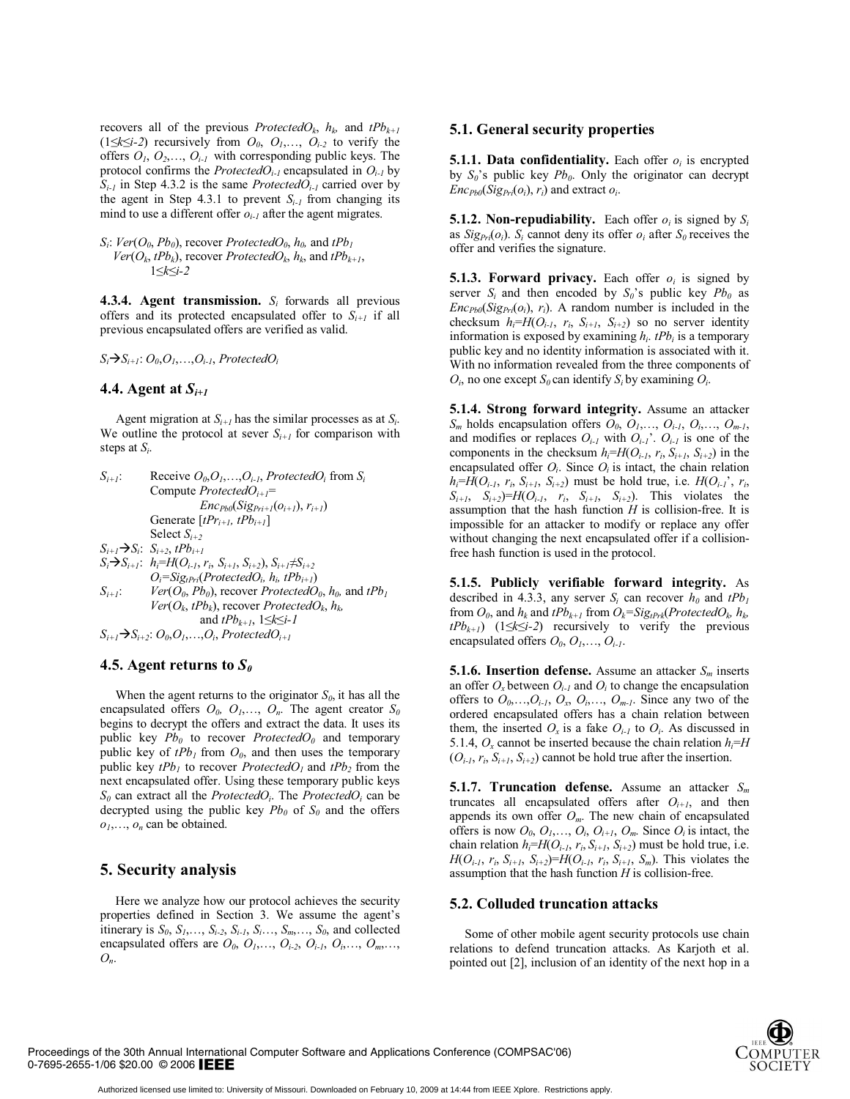recovers all of the previous *ProtectedO<sub>k</sub>*,  $h_k$  and  $tPb_{k+1}$  $(1 \leq k \leq i-2)$  recursively from  $O_0$ ,  $O_1$ ,...,  $O_{i-2}$  to verify the offers  $O_1$ ,  $O_2$ ,...,  $O_{i-1}$  with corresponding public keys. The protocol confirms the *ProtectedO<sub>i-1</sub>* encapsulated in  $O_{i-1}$  by  $S_{i-1}$  in Step 4.3.2 is the same *ProtectedO<sub>i-1</sub>* carried over by the agent in Step 4.3.1 to prevent  $S_{i-1}$  from changing its mind to use a different offer  $o_{i-1}$  after the agent migrates.

 $S_i$ :  $Ver(O_0, Pb_0)$ , recover *ProtectedO<sub>0</sub>*,  $h_0$ , and  $tPb_1$  $Ver(O_k, tPb_k)$ , recover *ProtectedO<sub>k</sub>*,  $h_k$ , and  $tPb_{k+1}$ , 1*ki-2*

**4.3.4. Agent transmission.** *Si* forwards all previous offers and its protected encapsulated offer to  $S_{i+1}$  if all previous encapsulated offers are verified as valid.

 $S_i \rightarrow S_{i+1}$ :  $O_0$ ,  $O_1$ , ...,  $O_{i-1}$ , *ProtectedO<sub>i</sub>* 

## **4.4. Agent at** *Si+1*

Agent migration at  $S_{i+1}$  has the similar processes as at  $S_i$ . We outline the protocol at sever  $S_{i+1}$  for comparison with steps at *Si*.

| $S_{i+1}$ : | Receive $O_0, O_1, \ldots, O_{i-l}$ , ProtectedO <sub>i</sub> from S <sub>i</sub>           |
|-------------|---------------------------------------------------------------------------------------------|
|             | Compute <i>Protected</i> $O_{i+1}$ =                                                        |
|             | $Enc_{Pb0}(Sig_{Pri+1}(o_{i+1}), r_{i+1})$                                                  |
|             | Generate $[ tPr_{i+1}, tPb_{i+1} ]$                                                         |
|             | Select $S_{i+2}$                                                                            |
|             | $S_{i+1} \rightarrow S_i$ : $S_{i+2}$ , tPb <sub>i+1</sub>                                  |
|             | $S_i \rightarrow S_{i+1}$ : $h_i = H(O_{i-1}, r_i, S_{i+1}, S_{i+2}), S_{i+1} \neq S_{i+2}$ |
|             | $O_i = Sig_{tPri}(ProtectedO_i, h_i, tPb_{i+1})$                                            |
| $S_{i+1}$ : | $Ver(O_0, Pb_0)$ , recover <i>ProtectedO<sub>0</sub></i> , $h_0$ , and tPb <sub>1</sub>     |
|             | $Ver(O_k, tPb_k)$ , recover <i>ProtectedO<sub>k</sub></i> , $h_k$                           |
|             | and $tPb_{k+1}$ , $1 \leq k \leq i-1$                                                       |
|             | $S_{i+1} \rightarrow S_{i+2}$ : $O_0 O_1$ ,, $O_i$ , Protected $O_{i+1}$                    |

### **4.5. Agent returns to**  $S_{\theta}$

When the agent returns to the originator  $S_0$ , it has all the encapsulated offers  $O_0$ ,  $O_1$ , ...,  $O_n$ . The agent creator  $S_0$ begins to decrypt the offers and extract the data. It uses its public key  $Pb_0$  to recover *ProtectedO*<sub>0</sub> and temporary public key of  $tPb_1$  from  $O_0$ , and then uses the temporary public key  $tPb_1$  to recover *ProtectedO<sub>1</sub>* and  $tPb_2$  from the next encapsulated offer. Using these temporary public keys  $S_0$  can extract all the *ProtectedO<sub>i</sub>*. The *ProtectedO<sub>i</sub>* can be decrypted using the public key  $Pb_0$  of  $S_0$  and the offers  $o_1, \ldots, o_n$  can be obtained.

## **5. Security analysis**

 Here we analyze how our protocol achieves the security properties defined in Section 3. We assume the agent's itinerary is  $S_0$ ,  $S_1$ , ...,  $S_{i-2}$ ,  $S_{i-1}$ ,  $S_i$ , ...,  $S_m$ , ...,  $S_0$ , and collected encapsulated offers are  $O_0$ ,  $O_1$ , ...,  $O_{i-2}$ ,  $O_{i-1}$ ,  $O_i$ , ...,  $O_{m}$ , ..., *On*.

## **5.1. General security properties**

**5.1.1. Data confidentiality.** Each offer  $o_i$  is encrypted by  $S_0$ 's public key  $Pb_0$ . Only the originator can decrypt  $Enc_{Pb0}(Sig_{Pri}(o_i), r_i)$  and extract  $o_i$ .

**5.1.2. Non-repudiability.** Each offer  $o_i$  is signed by  $S_i$ as  $Sign<sub>ri</sub>(o<sub>i</sub>)$ .  $S<sub>i</sub>$  cannot deny its offer  $o<sub>i</sub>$  after  $S<sub>0</sub>$  receives the offer and verifies the signature.

**5.1.3. Forward privacy.** Each offer  $o_i$  is signed by server  $S_i$  and then encoded by  $S_0$ 's public key  $Pb_0$  as  $Enc_{Pb0}(Sig_{Pri}(o_i), r_i)$ . A random number is included in the checksum  $h_i = H(O_{i-1}, r_i, S_{i+1}, S_{i+2})$  so no server identity information is exposed by examining  $h_i$ .  $tPb_i$  is a temporary public key and no identity information is associated with it. With no information revealed from the three components of  $O_i$ , no one except  $S_0$  can identify  $S_i$  by examining  $O_i$ .

**5.1.4. Strong forward integrity.** Assume an attacker  $S_m$  holds encapsulation offers  $O_0$ ,  $O_1$ ,  $O_2$ ,  $O_3$ ,  $O_4$ ,  $O_m$ ,  $O_m$ , and modifies or replaces  $O_{i-1}$  with  $O_{i-1}$ .  $O_{i-1}$  is one of the components in the checksum  $h_i=H(O_{i-1}, r_i, S_{i+1}, S_{i+2})$  in the encapsulated offer  $O_i$ . Since  $O_i$  is intact, the chain relation  $h_i = H(O_{i-1}, r_i, S_{i+1}, S_{i+2})$  must be hold true, i.e.  $H(O_{i-1}, r_i, S_{i+1}, S_{i+2})$  $S_{i+1}$ ,  $S_{i+2}$ )=H( $O_{i-1}$ ,  $r_i$ ,  $S_{i+1}$ ,  $S_{i+2}$ ). This violates the assumption that the hash function *H* is collision-free. It is impossible for an attacker to modify or replace any offer without changing the next encapsulated offer if a collisionfree hash function is used in the protocol.

**5.1.5. Publicly verifiable forward integrity.** As described in 4.3.3, any server  $S_i$  can recover  $h_0$  and  $tPb_1$ from  $O_0$ , and  $h_k$  and  $tPb_{k+1}$  from  $O_k = \frac{Signrk}{P}$  (*ProtectedO<sub>k</sub>*,  $h_k$ ,  $tPb_{k+1}$ ) (1 $\leq k \leq i-2$ ) recursively to verify the previous encapsulated offers  $O_0$ ,  $O_1$ , ...,  $O_{i-1}$ .

**5.1.6. Insertion defense.** Assume an attacker  $S_m$  inserts an offer  $O_x$  between  $O_{i-1}$  and  $O_i$  to change the encapsulation offers to  $O_0$ , ...,  $O_i$ <sub>, 1</sub>,  $O_x$ ,  $O_i$ , ...,  $O_{m-l}$ . Since any two of the ordered encapsulated offers has a chain relation between them, the inserted  $O_x$  is a fake  $O_{i-1}$  to  $O_i$ . As discussed in 5.1.4,  $O_x$  cannot be inserted because the chain relation  $h_i = H$  $(O_{i-1}, r_i, S_{i+1}, S_{i+2})$  cannot be hold true after the insertion.

**5.1.7. Truncation defense.** Assume an attacker *Sm* truncates all encapsulated offers after  $O_{i+1}$ , and then appends its own offer *Om*. The new chain of encapsulated offers is now  $O_0$ ,  $O_1$ , ...,  $O_i$ ,  $O_{i+1}$ ,  $O_m$ . Since  $O_i$  is intact, the chain relation  $h_i = H(O_{i-1}, r_i, S_{i+1}, S_{i+2})$  must be hold true, i.e. *H*( $O_{i-1}$ ,  $r_i$ ,  $S_{i+1}$ ,  $S_{i+2}$ )=*H*( $O_{i-1}$ ,  $r_i$ ,  $S_{i+1}$ ,  $S_m$ ). This violates the assumption that the hash function *H* is collision-free.

### **5.2. Colluded truncation attacks**

 Some of other mobile agent security protocols use chain relations to defend truncation attacks. As Karjoth et al. pointed out [2], inclusion of an identity of the next hop in a

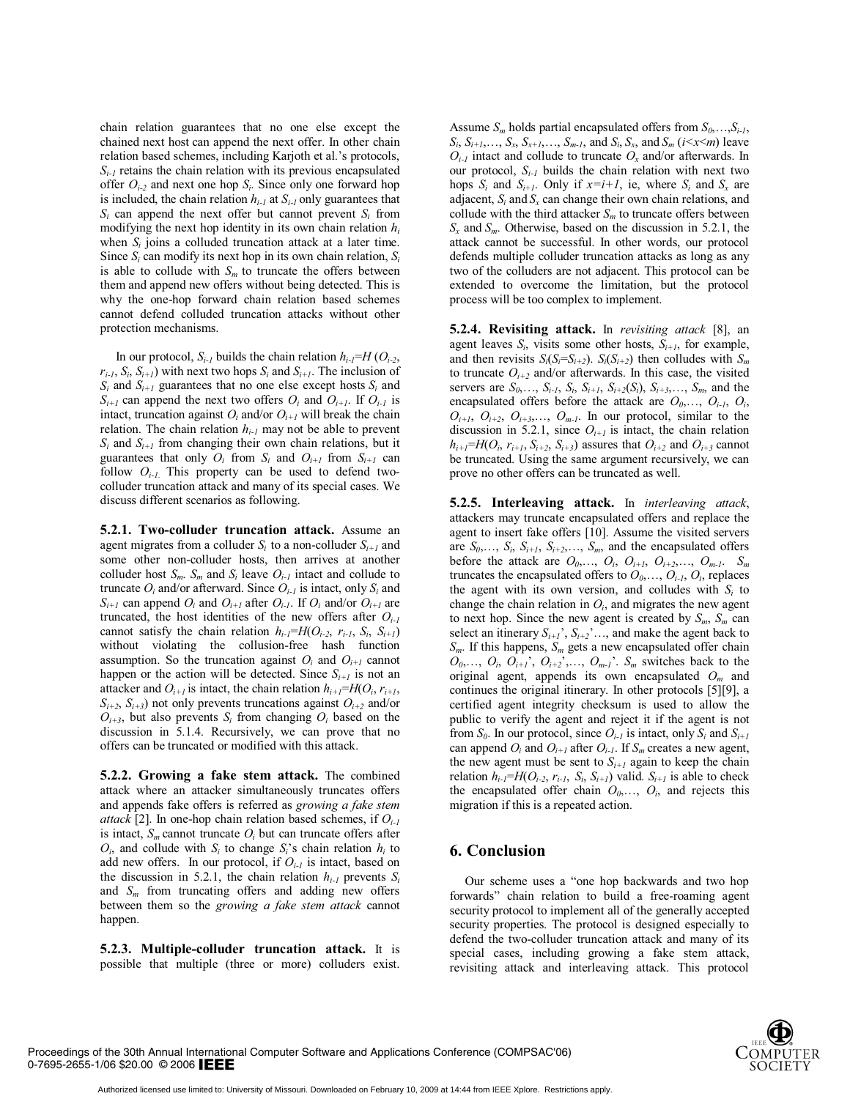chain relation guarantees that no one else except the chained next host can append the next offer. In other chain relation based schemes, including Karjoth et al.'s protocols,  $S_{i-1}$  retains the chain relation with its previous encapsulated offer  $O_{i-2}$  and next one hop  $S_i$ . Since only one forward hop is included, the chain relation  $h_{i-1}$  at  $S_{i-1}$  only guarantees that  $S_i$  can append the next offer but cannot prevent  $S_i$  from modifying the next hop identity in its own chain relation *hi* when *S<sub>i</sub>* joins a colluded truncation attack at a later time. Since  $S_i$  can modify its next hop in its own chain relation,  $S_i$ is able to collude with  $S_m$  to truncate the offers between them and append new offers without being detected. This is why the one-hop forward chain relation based schemes cannot defend colluded truncation attacks without other protection mechanisms.

In our protocol,  $S_{i-1}$  builds the chain relation  $h_{i-1} = H(O_{i-2},$  $r_{i-1}$ ,  $S_i$ ,  $S_{i+1}$ ) with next two hops  $S_i$  and  $S_{i+1}$ . The inclusion of  $S_i$  and  $S_{i+1}$  guarantees that no one else except hosts  $S_i$  and  $S_{i+1}$  can append the next two offers  $O_i$  and  $O_{i+1}$ . If  $O_{i-1}$  is intact, truncation against  $O_i$  and/or  $O_{i+1}$  will break the chain relation. The chain relation  $h_{i-1}$  may not be able to prevent  $S_i$  and  $S_{i+1}$  from changing their own chain relations, but it guarantees that only  $O_i$  from  $S_i$  and  $O_{i+1}$  from  $S_{i+1}$  can follow  $O_{i-1}$ . This property can be used to defend twocolluder truncation attack and many of its special cases. We discuss different scenarios as following.

**5.2.1. Two-colluder truncation attack.** Assume an agent migrates from a colluder  $S_i$  to a non-colluder  $S_{i+1}$  and some other non-colluder hosts, then arrives at another colluder host  $S_m$ .  $S_m$  and  $S_i$  leave  $O_{i-1}$  intact and collude to truncate  $O_i$  and/or afterward. Since  $O_{i-1}$  is intact, only  $S_i$  and  $S_{i+1}$  can append  $O_i$  and  $O_{i+1}$  after  $O_{i-1}$ . If  $O_i$  and/or  $O_{i+1}$  are truncated, the host identities of the new offers after  $O_{i-1}$ cannot satisfy the chain relation  $h_{i-1} = H(O_{i-2}, r_{i-1}, S_i, S_{i+1})$ without violating the collusion-free hash function assumption. So the truncation against  $O_i$  and  $O_{i+1}$  cannot happen or the action will be detected. Since  $S_{i+1}$  is not an attacker and  $O_{i+1}$  is intact, the chain relation  $h_{i+1} = H(O_i, r_{i+1})$ ,  $S_{i+2}$ ,  $S_{i+3}$ ) not only prevents truncations against  $O_{i+2}$  and/or  $O_{i+3}$ , but also prevents  $S_i$  from changing  $O_i$  based on the discussion in 5.1.4. Recursively, we can prove that no offers can be truncated or modified with this attack.

**5.2.2. Growing a fake stem attack.** The combined attack where an attacker simultaneously truncates offers and appends fake offers is referred as *growing a fake stem attack* [2]. In one-hop chain relation based schemes, if  $O_{i-1}$ is intact,  $S_m$  cannot truncate  $O_i$  but can truncate offers after  $O_i$ , and collude with  $S_i$  to change  $S_i$ 's chain relation  $h_i$  to add new offers. In our protocol, if  $O<sub>i-1</sub>$  is intact, based on the discussion in 5.2.1, the chain relation  $h_{i-1}$  prevents  $S_i$ and *Sm* from truncating offers and adding new offers between them so the *growing a fake stem attack* cannot happen.

**5.2.3. Multiple-colluder truncation attack.** It is possible that multiple (three or more) colluders exist.

Assume  $S_m$  holds partial encapsulated offers from  $S_0$ ,..., $S_{i-1}$ ,  $S_i$ ,  $S_{i+1},..., S_x$ ,  $S_{x+1},..., S_{m-1}$ , and  $S_i$ ,  $S_x$ , and  $S_m$  (*i* < *x* < *m*) leave  $O_{i-1}$  intact and collude to truncate  $O_x$  and/or afterwards. In our protocol,  $S_{i-1}$  builds the chain relation with next two hops  $S_i$  and  $S_{i+1}$ . Only if  $x=i+1$ , ie, where  $S_i$  and  $S_x$  are adjacent,  $S_i$  and  $S_x$  can change their own chain relations, and collude with the third attacker  $S_m$  to truncate offers between  $S_x$  and  $S_m$ . Otherwise, based on the discussion in 5.2.1, the attack cannot be successful. In other words, our protocol defends multiple colluder truncation attacks as long as any two of the colluders are not adjacent. This protocol can be extended to overcome the limitation, but the protocol process will be too complex to implement.

**5.2.4. Revisiting attack.** In *revisiting attack* [8], an agent leaves  $S_i$ , visits some other hosts,  $S_{i+1}$ , for example, and then revisits  $S_i(S_i=S_{i+2})$ .  $S_i(S_{i+2})$  then colludes with  $S_m$ to truncate  $O_{i+2}$  and/or afterwards. In this case, the visited servers are  $S_0, ..., S_{i-1}, S_i, S_{i+1}, S_{i+2}(S_i), S_{i+3}, ..., S_m$ , and the encapsulated offers before the attack are  $O_0, \ldots, O_{i-1}, O_i$ ,  $O_{i+1}$ ,  $O_{i+2}$ ,  $O_{i+3}$ ,...,  $O_{m-l}$ . In our protocol, similar to the discussion in 5.2.1, since  $O_{i+1}$  is intact, the chain relation  $h_{i+1} = H(O_i, r_{i+1}, S_{i+2}, S_{i+3})$  assures that  $O_{i+2}$  and  $O_{i+3}$  cannot be truncated. Using the same argument recursively, we can prove no other offers can be truncated as well.

**5.2.5. Interleaving attack.** In *interleaving attack*, attackers may truncate encapsulated offers and replace the agent to insert fake offers [10]. Assume the visited servers are  $S_0$ ,...,  $S_i$ ,  $S_{i+1}$ ,  $S_{i+2}$ ,...,  $S_m$ , and the encapsulated offers before the attack are  $O_0, ..., O_i, O_{i+1}, O_{i+2}, ..., O_{m-l}$ .  $S_m$ truncates the encapsulated offers to  $O_0$ ,...,  $O_{i-1}$ ,  $O_i$ , replaces the agent with its own version, and colludes with  $S_i$  to change the chain relation in  $O_i$ , and migrates the new agent to next hop. Since the new agent is created by  $S_m$ ,  $S_m$  can select an itinerary  $S_{i+1}$ <sup>'</sup>,  $S_{i+2}$ <sup>'</sup>..., and make the agent back to  $S_m$ . If this happens,  $S_m$  gets a new encapsulated offer chain  $O_0$ ,...,  $O_i$ ,  $O_{i+1}$ <sup>'</sup>,  $O_{i+2}$ <sup>'</sup>,...,  $O_{m-1}$ <sup>'</sup>.  $S_m$  switches back to the original agent, appends its own encapsulated *Om* and continues the original itinerary. In other protocols [5][9], a certified agent integrity checksum is used to allow the public to verify the agent and reject it if the agent is not from  $S_0$ . In our protocol, since  $O_{i-1}$  is intact, only  $S_i$  and  $S_{i+1}$ can append  $O_i$  and  $O_{i+1}$  after  $O_{i-1}$ . If  $S_m$  creates a new agent, the new agent must be sent to  $S_{i+1}$  again to keep the chain relation  $h_{i-1} = H(O_{i-2}, r_{i-1}, S_i, S_{i+1})$  valid.  $S_{i+1}$  is able to check the encapsulated offer chain  $O_0$ ,...,  $O_i$ , and rejects this migration if this is a repeated action.

## **6. Conclusion**

 Our scheme uses a "one hop backwards and two hop forwards" chain relation to build a free-roaming agent security protocol to implement all of the generally accepted security properties. The protocol is designed especially to defend the two-colluder truncation attack and many of its special cases, including growing a fake stem attack, revisiting attack and interleaving attack. This protocol



Proceedings of the 30th Annual International Computer Software and Applications Conference (COMPSAC'06) 0-7695-2655-1/06 \$20.00 © 2006 IEEE